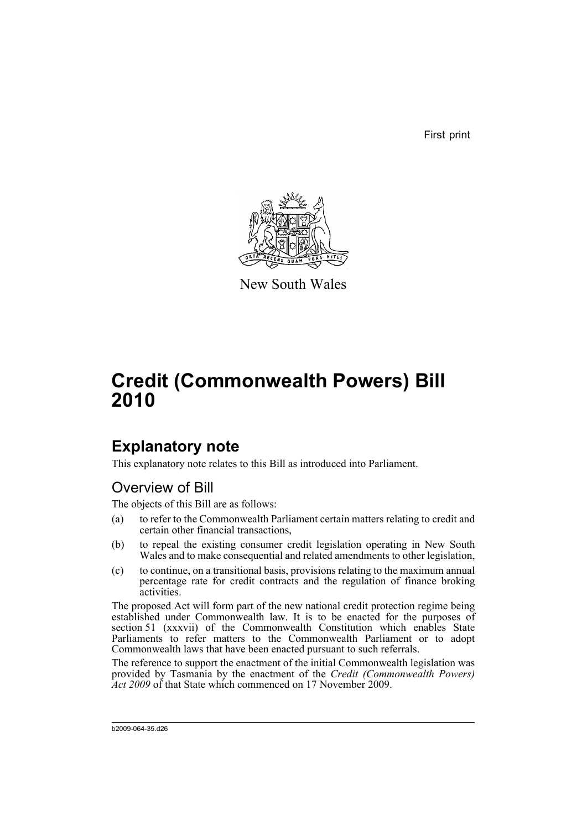First print



New South Wales

# **Credit (Commonwealth Powers) Bill 2010**

# **Explanatory note**

This explanatory note relates to this Bill as introduced into Parliament.

## Overview of Bill

The objects of this Bill are as follows:

- (a) to refer to the Commonwealth Parliament certain matters relating to credit and certain other financial transactions,
- (b) to repeal the existing consumer credit legislation operating in New South Wales and to make consequential and related amendments to other legislation,
- (c) to continue, on a transitional basis, provisions relating to the maximum annual percentage rate for credit contracts and the regulation of finance broking activities.

The proposed Act will form part of the new national credit protection regime being established under Commonwealth law. It is to be enacted for the purposes of section 51 (xxxvii) of the Commonwealth Constitution which enables State Parliaments to refer matters to the Commonwealth Parliament or to adopt Commonwealth laws that have been enacted pursuant to such referrals.

The reference to support the enactment of the initial Commonwealth legislation was provided by Tasmania by the enactment of the *Credit (Commonwealth Powers) Act 2009* of that State which commenced on 17 November 2009.

b2009-064-35.d26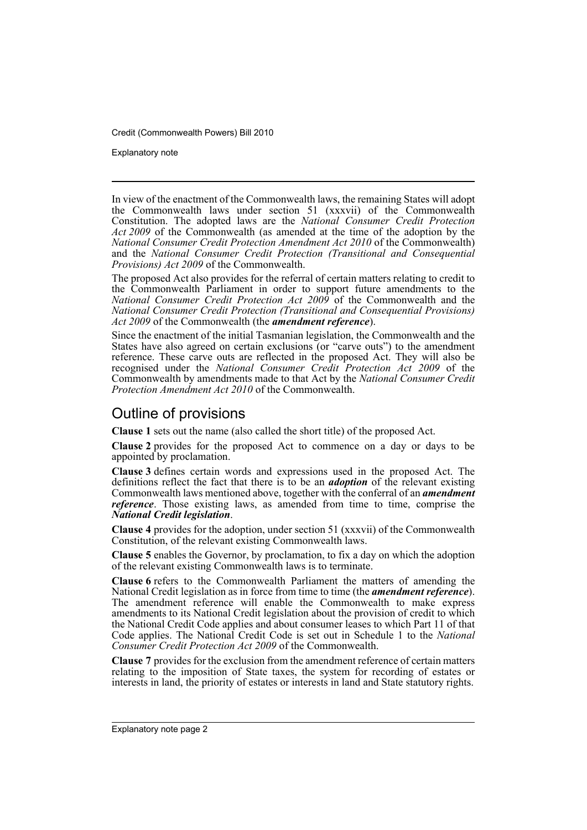Explanatory note

In view of the enactment of the Commonwealth laws, the remaining States will adopt the Commonwealth laws under section 51 (xxxvii) of the Commonwealth Constitution. The adopted laws are the *National Consumer Credit Protection Act 2009* of the Commonwealth (as amended at the time of the adoption by the *National Consumer Credit Protection Amendment Act 2010* of the Commonwealth) and the *National Consumer Credit Protection (Transitional and Consequential Provisions) Act 2009* of the Commonwealth.

The proposed Act also provides for the referral of certain matters relating to credit to the Commonwealth Parliament in order to support future amendments to the *National Consumer Credit Protection Act 2009* of the Commonwealth and the *National Consumer Credit Protection (Transitional and Consequential Provisions) Act 2009* of the Commonwealth (the *amendment reference*).

Since the enactment of the initial Tasmanian legislation, the Commonwealth and the States have also agreed on certain exclusions (or "carve outs") to the amendment reference. These carve outs are reflected in the proposed Act. They will also be recognised under the *National Consumer Credit Protection Act 2009* of the Commonwealth by amendments made to that Act by the *National Consumer Credit Protection Amendment Act 2010* of the Commonwealth.

### Outline of provisions

**Clause 1** sets out the name (also called the short title) of the proposed Act.

**Clause 2** provides for the proposed Act to commence on a day or days to be appointed by proclamation.

**Clause 3** defines certain words and expressions used in the proposed Act. The definitions reflect the fact that there is to be an *adoption* of the relevant existing Commonwealth laws mentioned above, together with the conferral of an *amendment reference*. Those existing laws, as amended from time to time, comprise the *National Credit legislation*.

**Clause 4** provides for the adoption, under section 51 (xxxvii) of the Commonwealth Constitution, of the relevant existing Commonwealth laws.

**Clause 5** enables the Governor, by proclamation, to fix a day on which the adoption of the relevant existing Commonwealth laws is to terminate.

**Clause 6** refers to the Commonwealth Parliament the matters of amending the National Credit legislation as in force from time to time (the *amendment reference*). The amendment reference will enable the Commonwealth to make express amendments to its National Credit legislation about the provision of credit to which the National Credit Code applies and about consumer leases to which Part 11 of that Code applies. The National Credit Code is set out in Schedule 1 to the *National Consumer Credit Protection Act 2009* of the Commonwealth.

**Clause 7** provides for the exclusion from the amendment reference of certain matters relating to the imposition of State taxes, the system for recording of estates or interests in land, the priority of estates or interests in land and State statutory rights.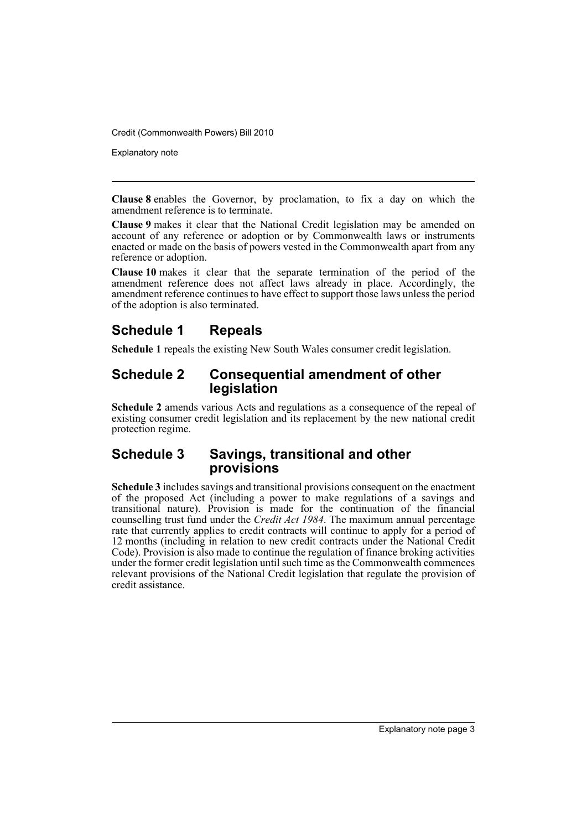Explanatory note

**Clause 8** enables the Governor, by proclamation, to fix a day on which the amendment reference is to terminate.

**Clause 9** makes it clear that the National Credit legislation may be amended on account of any reference or adoption or by Commonwealth laws or instruments enacted or made on the basis of powers vested in the Commonwealth apart from any reference or adoption.

**Clause 10** makes it clear that the separate termination of the period of the amendment reference does not affect laws already in place. Accordingly, the amendment reference continues to have effect to support those laws unless the period of the adoption is also terminated.

## **Schedule 1 Repeals**

**Schedule 1** repeals the existing New South Wales consumer credit legislation.

### **Schedule 2 Consequential amendment of other legislation**

**Schedule 2** amends various Acts and regulations as a consequence of the repeal of existing consumer credit legislation and its replacement by the new national credit protection regime.

### **Schedule 3 Savings, transitional and other provisions**

**Schedule 3** includes savings and transitional provisions consequent on the enactment of the proposed Act (including a power to make regulations of a savings and transitional nature). Provision is made for the continuation of the financial counselling trust fund under the *Credit Act 1984*. The maximum annual percentage rate that currently applies to credit contracts will continue to apply for a period of 12 months (including in relation to new credit contracts under the National Credit Code). Provision is also made to continue the regulation of finance broking activities under the former credit legislation until such time as the Commonwealth commences relevant provisions of the National Credit legislation that regulate the provision of credit assistance.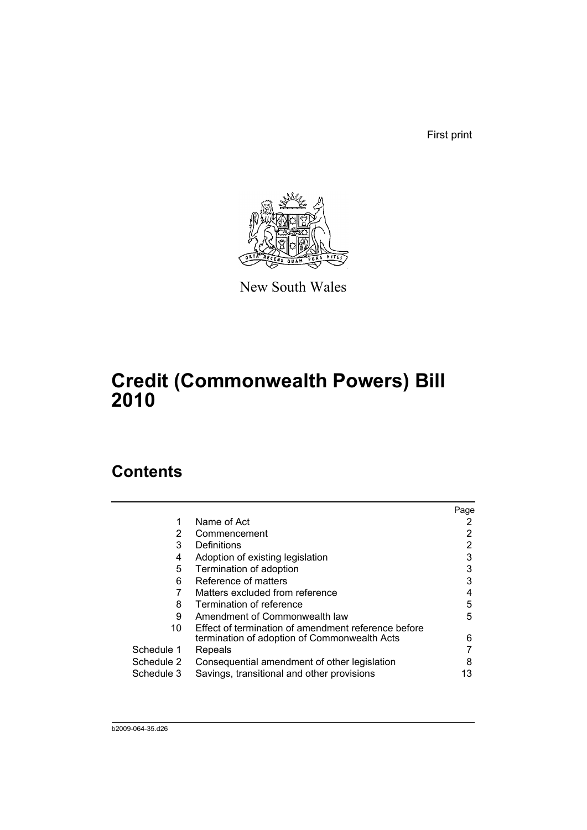First print



New South Wales

# **Credit (Commonwealth Powers) Bill 2010**

# **Contents**

|            |                                                     | Page |
|------------|-----------------------------------------------------|------|
|            | Name of Act                                         |      |
| 2          | Commencement                                        | 2    |
| 3          | Definitions                                         |      |
| 4          | Adoption of existing legislation                    | 3    |
| 5          | Termination of adoption                             | 3    |
| 6          | Reference of matters                                | 3    |
|            | Matters excluded from reference                     | 4    |
| 8          | Termination of reference                            | 5    |
| 9          | Amendment of Commonwealth law                       | 5    |
| 10         | Effect of termination of amendment reference before |      |
|            | termination of adoption of Commonwealth Acts        | 6    |
| Schedule 1 | Repeals                                             |      |
| Schedule 2 | Consequential amendment of other legislation        | 8    |
| Schedule 3 | Savings, transitional and other provisions          | 13   |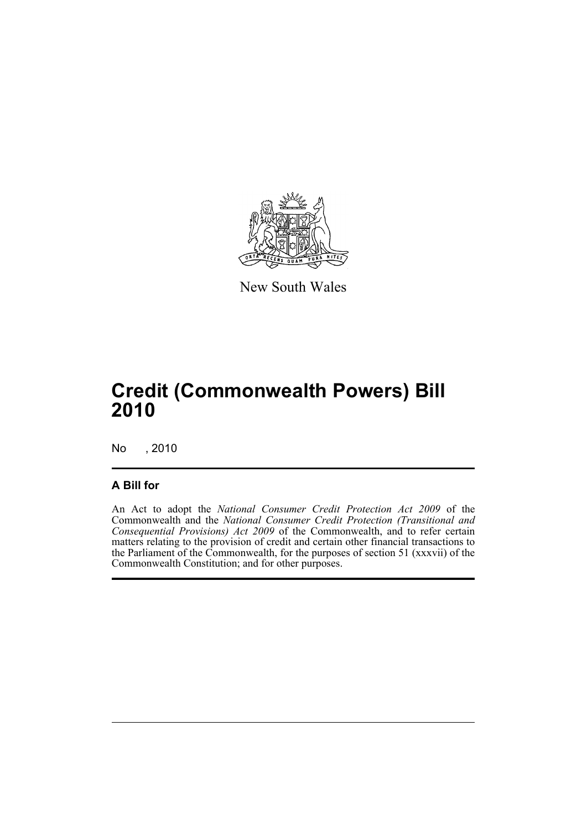

New South Wales

# **Credit (Commonwealth Powers) Bill 2010**

No , 2010

### **A Bill for**

An Act to adopt the *National Consumer Credit Protection Act 2009* of the Commonwealth and the *National Consumer Credit Protection (Transitional and Consequential Provisions) Act 2009* of the Commonwealth, and to refer certain matters relating to the provision of credit and certain other financial transactions to the Parliament of the Commonwealth, for the purposes of section 51 (xxxvii) of the Commonwealth Constitution; and for other purposes.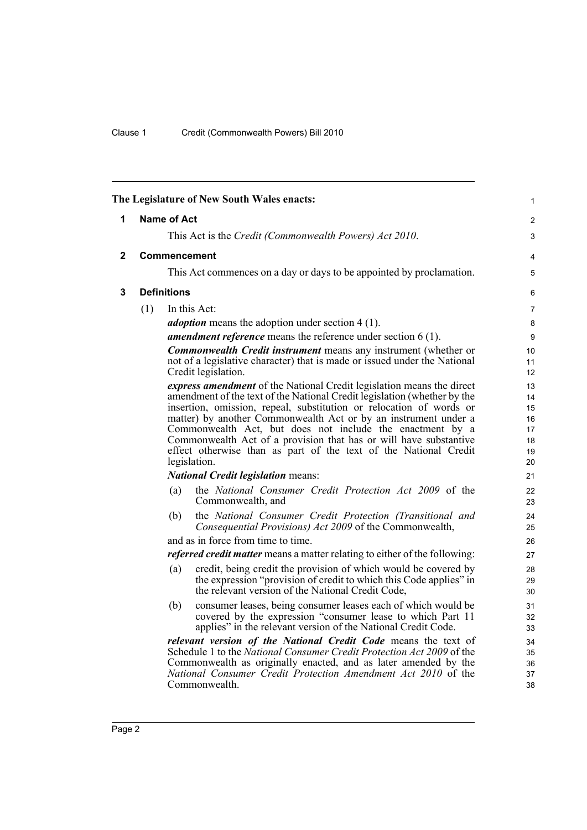<span id="page-7-2"></span><span id="page-7-1"></span><span id="page-7-0"></span>

|   |     |                    | The Legislature of New South Wales enacts:                                                                                                                                                                                                                                                                                                                                                                                                                                                                        | $\mathbf{1}$                                 |
|---|-----|--------------------|-------------------------------------------------------------------------------------------------------------------------------------------------------------------------------------------------------------------------------------------------------------------------------------------------------------------------------------------------------------------------------------------------------------------------------------------------------------------------------------------------------------------|----------------------------------------------|
| 1 |     | <b>Name of Act</b> |                                                                                                                                                                                                                                                                                                                                                                                                                                                                                                                   | $\overline{2}$                               |
|   |     |                    | This Act is the Credit (Commonwealth Powers) Act 2010.                                                                                                                                                                                                                                                                                                                                                                                                                                                            | 3                                            |
| 2 |     |                    | <b>Commencement</b>                                                                                                                                                                                                                                                                                                                                                                                                                                                                                               | 4                                            |
|   |     |                    | This Act commences on a day or days to be appointed by proclamation.                                                                                                                                                                                                                                                                                                                                                                                                                                              | 5                                            |
| 3 |     | <b>Definitions</b> |                                                                                                                                                                                                                                                                                                                                                                                                                                                                                                                   | 6                                            |
|   | (1) |                    | In this Act:                                                                                                                                                                                                                                                                                                                                                                                                                                                                                                      | $\overline{7}$                               |
|   |     |                    | <i>adoption</i> means the adoption under section 4 (1).                                                                                                                                                                                                                                                                                                                                                                                                                                                           | 8                                            |
|   |     |                    | <b>amendment reference</b> means the reference under section $6(1)$ .                                                                                                                                                                                                                                                                                                                                                                                                                                             | 9                                            |
|   |     |                    | <b>Commonwealth Credit instrument</b> means any instrument (whether or<br>not of a legislative character) that is made or issued under the National<br>Credit legislation.                                                                                                                                                                                                                                                                                                                                        | 10<br>11<br>12                               |
|   |     |                    | express amendment of the National Credit legislation means the direct<br>amendment of the text of the National Credit legislation (whether by the<br>insertion, omission, repeal, substitution or relocation of words or<br>matter) by another Commonwealth Act or by an instrument under a<br>Commonwealth Act, but does not include the enactment by a<br>Commonwealth Act of a provision that has or will have substantive<br>effect otherwise than as part of the text of the National Credit<br>legislation. | 13<br>14<br>15<br>16<br>17<br>18<br>19<br>20 |
|   |     |                    | <b>National Credit legislation means:</b>                                                                                                                                                                                                                                                                                                                                                                                                                                                                         | 21                                           |
|   |     | (a)                | the National Consumer Credit Protection Act 2009 of the<br>Commonwealth, and                                                                                                                                                                                                                                                                                                                                                                                                                                      | 22<br>23                                     |
|   |     | (b)                | the National Consumer Credit Protection (Transitional and<br>Consequential Provisions) Act 2009 of the Commonwealth,                                                                                                                                                                                                                                                                                                                                                                                              | 24<br>25                                     |
|   |     |                    | and as in force from time to time.                                                                                                                                                                                                                                                                                                                                                                                                                                                                                | 26                                           |
|   |     |                    | <i>referred credit matter</i> means a matter relating to either of the following:                                                                                                                                                                                                                                                                                                                                                                                                                                 | 27                                           |
|   |     | (a)                | credit, being credit the provision of which would be covered by<br>the expression "provision of credit to which this Code applies" in<br>the relevant version of the National Credit Code,                                                                                                                                                                                                                                                                                                                        | 28<br>29<br>30                               |
|   |     | (b)                | consumer leases, being consumer leases each of which would be<br>covered by the expression "consumer lease to which Part 11<br>applies" in the relevant version of the National Credit Code.                                                                                                                                                                                                                                                                                                                      | 31<br>32<br>33                               |
|   |     |                    | relevant version of the National Credit Code means the text of<br>Schedule 1 to the National Consumer Credit Protection Act 2009 of the<br>Commonwealth as originally enacted, and as later amended by the<br>National Consumer Credit Protection Amendment Act 2010 of the<br>Commonwealth.                                                                                                                                                                                                                      | 34<br>35<br>36<br>37<br>38                   |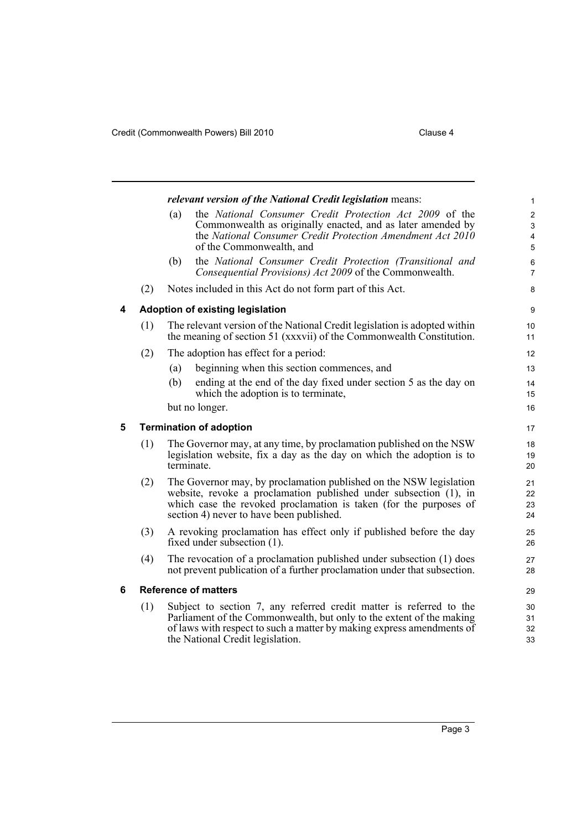<span id="page-8-2"></span><span id="page-8-1"></span><span id="page-8-0"></span>

|   |     |     | relevant version of the National Credit legislation means:                                                                                                                                                                                               | 1                                                                         |
|---|-----|-----|----------------------------------------------------------------------------------------------------------------------------------------------------------------------------------------------------------------------------------------------------------|---------------------------------------------------------------------------|
|   |     | (a) | the National Consumer Credit Protection Act 2009 of the<br>Commonwealth as originally enacted, and as later amended by<br>the National Consumer Credit Protection Amendment Act 2010<br>of the Commonwealth, and                                         | $\boldsymbol{2}$<br>$\mathsf 3$<br>$\overline{\mathbf{4}}$<br>$\mathbf 5$ |
|   |     | (b) | the National Consumer Credit Protection (Transitional and<br>Consequential Provisions) Act 2009 of the Commonwealth.                                                                                                                                     | 6<br>$\overline{7}$                                                       |
|   | (2) |     | Notes included in this Act do not form part of this Act.                                                                                                                                                                                                 | 8                                                                         |
| 4 |     |     | Adoption of existing legislation                                                                                                                                                                                                                         | 9                                                                         |
|   | (1) |     | The relevant version of the National Credit legislation is adopted within<br>the meaning of section 51 (xxxvii) of the Commonwealth Constitution.                                                                                                        | 10<br>11                                                                  |
|   | (2) |     | The adoption has effect for a period:                                                                                                                                                                                                                    | 12                                                                        |
|   |     | (a) | beginning when this section commences, and                                                                                                                                                                                                               | 13                                                                        |
|   |     | (b) | ending at the end of the day fixed under section 5 as the day on<br>which the adoption is to terminate,                                                                                                                                                  | 14<br>15                                                                  |
|   |     |     | but no longer.                                                                                                                                                                                                                                           | 16                                                                        |
| 5 |     |     | <b>Termination of adoption</b>                                                                                                                                                                                                                           | 17                                                                        |
|   | (1) |     | The Governor may, at any time, by proclamation published on the NSW<br>legislation website, fix a day as the day on which the adoption is to<br>terminate.                                                                                               | 18<br>19<br>20                                                            |
|   | (2) |     | The Governor may, by proclamation published on the NSW legislation<br>website, revoke a proclamation published under subsection (1), in<br>which case the revoked proclamation is taken (for the purposes of<br>section 4) never to have been published. | 21<br>22<br>23<br>24                                                      |
|   | (3) |     | A revoking proclamation has effect only if published before the day<br>fixed under subsection (1).                                                                                                                                                       | 25<br>26                                                                  |
|   | (4) |     | The revocation of a proclamation published under subsection (1) does<br>not prevent publication of a further proclamation under that subsection.                                                                                                         | 27<br>28                                                                  |
| 6 |     |     | <b>Reference of matters</b>                                                                                                                                                                                                                              | 29                                                                        |
|   | (1) |     | Subject to section 7, any referred credit matter is referred to the<br>Parliament of the Commonwealth, but only to the extent of the making<br>of laws with respect to such a matter by making express amendments of<br>the National Credit legislation. | 30<br>31<br>32<br>33                                                      |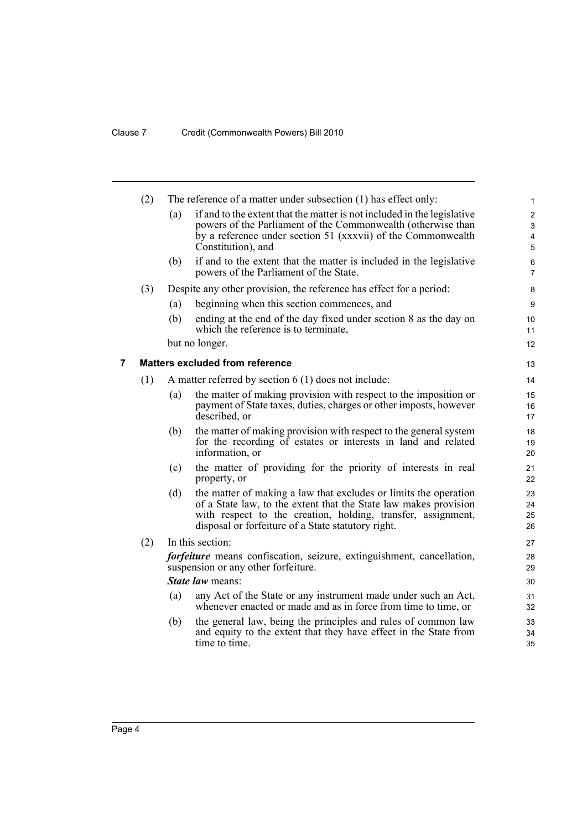<span id="page-9-0"></span>

|   | (2) |     | The reference of a matter under subsection (1) has effect only:                                                                  | $\mathbf{1}$              |
|---|-----|-----|----------------------------------------------------------------------------------------------------------------------------------|---------------------------|
|   |     | (a) | if and to the extent that the matter is not included in the legislative                                                          | $\overline{2}$            |
|   |     |     | powers of the Parliament of the Commonwealth (otherwise than                                                                     | $\ensuremath{\mathsf{3}}$ |
|   |     |     | by a reference under section 51 (xxxvii) of the Commonwealth<br>Constitution), and                                               | 4<br>$\overline{5}$       |
|   |     | (b) | if and to the extent that the matter is included in the legislative                                                              | 6                         |
|   |     |     | powers of the Parliament of the State.                                                                                           | $\overline{7}$            |
|   | (3) |     | Despite any other provision, the reference has effect for a period:                                                              | 8                         |
|   |     | (a) | beginning when this section commences, and                                                                                       | 9                         |
|   |     | (b) | ending at the end of the day fixed under section 8 as the day on<br>which the reference is to terminate.                         | 10<br>11                  |
|   |     |     | but no longer.                                                                                                                   | 12                        |
| 7 |     |     | <b>Matters excluded from reference</b>                                                                                           | 13                        |
|   | (1) |     | A matter referred by section $6(1)$ does not include:                                                                            | 14                        |
|   |     | (a) | the matter of making provision with respect to the imposition or                                                                 | 15                        |
|   |     |     | payment of State taxes, duties, charges or other imposts, however<br>described, or                                               | 16<br>17                  |
|   |     | (b) | the matter of making provision with respect to the general system                                                                | 18                        |
|   |     |     | for the recording of estates or interests in land and related<br>information, or                                                 | 19<br>20                  |
|   |     | (c) | the matter of providing for the priority of interests in real<br>property, or                                                    | 21<br>22                  |
|   |     | (d) | the matter of making a law that excludes or limits the operation                                                                 | 23                        |
|   |     |     | of a State law, to the extent that the State law makes provision                                                                 | 24                        |
|   |     |     | with respect to the creation, holding, transfer, assignment,<br>disposal or forfeiture of a State statutory right.               | 25<br>26                  |
|   | (2) |     | In this section:                                                                                                                 | 27                        |
|   |     |     | <i>forfeiture</i> means confiscation, seizure, extinguishment, cancellation,                                                     | 28                        |
|   |     |     | suspension or any other forfeiture.                                                                                              | 29                        |
|   |     |     | State law means:                                                                                                                 | 30                        |
|   |     | (a) | any Act of the State or any instrument made under such an Act,<br>whenever enacted or made and as in force from time to time, or | 31<br>32                  |
|   |     | (b) | the general law, being the principles and rules of common law                                                                    | 33                        |
|   |     |     | and equity to the extent that they have effect in the State from<br>time to time.                                                | 34<br>35                  |
|   |     |     |                                                                                                                                  |                           |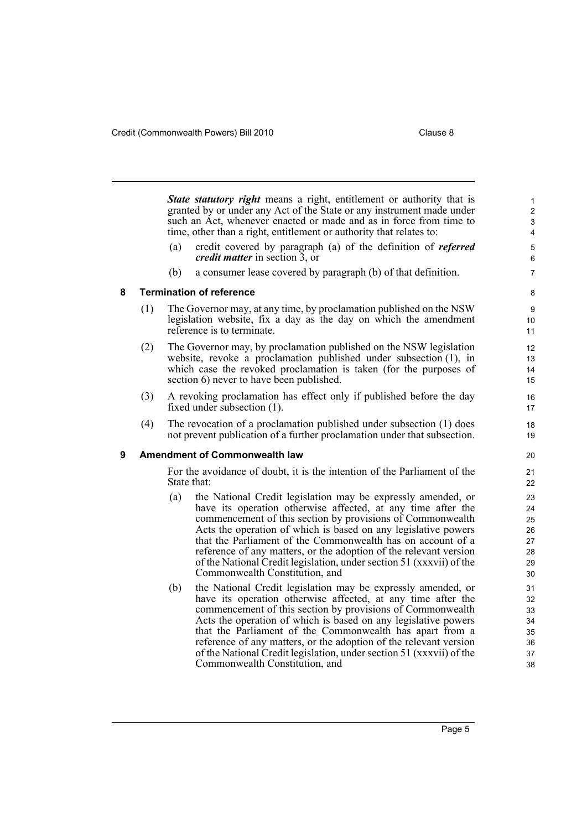<span id="page-10-1"></span><span id="page-10-0"></span>*State statutory right* means a right, entitlement or authority that is granted by or under any Act of the State or any instrument made under such an Act, whenever enacted or made and as in force from time to time, other than a right, entitlement or authority that relates to: (a) credit covered by paragraph (a) of the definition of *referred credit matter* in section 3, or (b) a consumer lease covered by paragraph (b) of that definition. **8 Termination of reference** (1) The Governor may, at any time, by proclamation published on the NSW legislation website, fix a day as the day on which the amendment reference is to terminate. (2) The Governor may, by proclamation published on the NSW legislation website, revoke a proclamation published under subsection (1), in which case the revoked proclamation is taken (for the purposes of section 6) never to have been published. (3) A revoking proclamation has effect only if published before the day fixed under subsection (1). (4) The revocation of a proclamation published under subsection (1) does not prevent publication of a further proclamation under that subsection. **9 Amendment of Commonwealth law** For the avoidance of doubt, it is the intention of the Parliament of the State that: (a) the National Credit legislation may be expressly amended, or have its operation otherwise affected, at any time after the commencement of this section by provisions of Commonwealth Acts the operation of which is based on any legislative powers that the Parliament of the Commonwealth has on account of a reference of any matters, or the adoption of the relevant version of the National Credit legislation, under section 51 (xxxvii) of the Commonwealth Constitution, and (b) the National Credit legislation may be expressly amended, or have its operation otherwise affected, at any time after the commencement of this section by provisions of Commonwealth Acts the operation of which is based on any legislative powers that the Parliament of the Commonwealth has apart from a reference of any matters, or the adoption of the relevant version of the National Credit legislation, under section 51 (xxxvii) of the Commonwealth Constitution, and 1 2 3 4 5 6 7 8 9 10 11 12 13 14 15 16 17 18 19 20 21  $22$ 23 24 25 26 27 28 29 30 31 32 33 34 35 36 37 38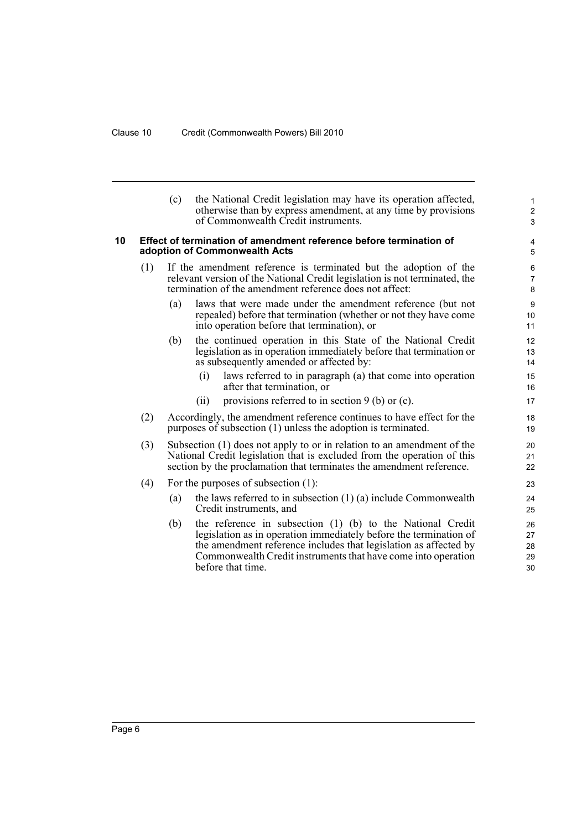<span id="page-11-0"></span>

|    |     | (c) | the National Credit legislation may have its operation affected,<br>otherwise than by express amendment, at any time by provisions<br>of Commonwealth Credit instruments.                                                                                                                 | $\mathbf{1}$<br>$\overline{c}$<br>3 |
|----|-----|-----|-------------------------------------------------------------------------------------------------------------------------------------------------------------------------------------------------------------------------------------------------------------------------------------------|-------------------------------------|
| 10 |     |     | Effect of termination of amendment reference before termination of<br>adoption of Commonwealth Acts                                                                                                                                                                                       | 4<br>5                              |
|    | (1) |     | If the amendment reference is terminated but the adoption of the<br>relevant version of the National Credit legislation is not terminated, the<br>termination of the amendment reference does not affect:                                                                                 | 6<br>$\overline{7}$<br>8            |
|    |     | (a) | laws that were made under the amendment reference (but not<br>repealed) before that termination (whether or not they have come<br>into operation before that termination), or                                                                                                             | 9<br>10<br>11                       |
|    |     | (b) | the continued operation in this State of the National Credit<br>legislation as in operation immediately before that termination or<br>as subsequently amended or affected by:                                                                                                             | 12<br>13<br>14                      |
|    |     |     | laws referred to in paragraph (a) that come into operation<br>(i)<br>after that termination, or<br>provisions referred to in section $9$ (b) or (c).<br>(i)                                                                                                                               | 15<br>16<br>17                      |
|    | (2) |     | Accordingly, the amendment reference continues to have effect for the<br>purposes of subsection (1) unless the adoption is terminated.                                                                                                                                                    | 18<br>19                            |
|    | (3) |     | Subsection (1) does not apply to or in relation to an amendment of the<br>National Credit legislation that is excluded from the operation of this<br>section by the proclamation that terminates the amendment reference.                                                                 | 20<br>21<br>22                      |
|    | (4) |     | For the purposes of subsection (1):                                                                                                                                                                                                                                                       | 23                                  |
|    |     | (a) | the laws referred to in subsection $(1)$ $(a)$ include Commonwealth<br>Credit instruments, and                                                                                                                                                                                            | 24<br>25                            |
|    |     | (b) | the reference in subsection (1) (b) to the National Credit<br>legislation as in operation immediately before the termination of<br>the amendment reference includes that legislation as affected by<br>Commonwealth Credit instruments that have come into operation<br>before that time. | 26<br>27<br>28<br>29<br>30          |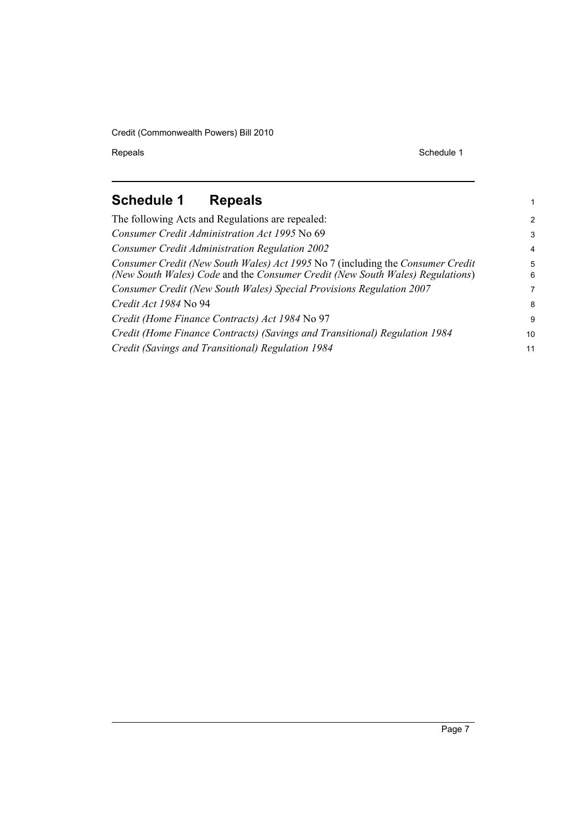Repeals Schedule 1

1

# <span id="page-12-0"></span>**Schedule 1 Repeals**

| The following Acts and Regulations are repealed:                                                                                                                | $\mathcal{P}$   |
|-----------------------------------------------------------------------------------------------------------------------------------------------------------------|-----------------|
| Consumer Credit Administration Act 1995 No 69                                                                                                                   | 3               |
| <b>Consumer Credit Administration Regulation 2002</b>                                                                                                           | $\overline{4}$  |
| Consumer Credit (New South Wales) Act 1995 No 7 (including the Consumer Credit<br>(New South Wales) Code and the Consumer Credit (New South Wales) Regulations) | 5<br>6          |
| Consumer Credit (New South Wales) Special Provisions Regulation 2007                                                                                            | 7               |
| Credit Act 1984 No 94                                                                                                                                           | 8               |
| Credit (Home Finance Contracts) Act 1984 No 97                                                                                                                  | 9               |
| Credit (Home Finance Contracts) (Savings and Transitional) Regulation 1984                                                                                      | 10 <sup>1</sup> |
| Credit (Savings and Transitional) Regulation 1984                                                                                                               | 11              |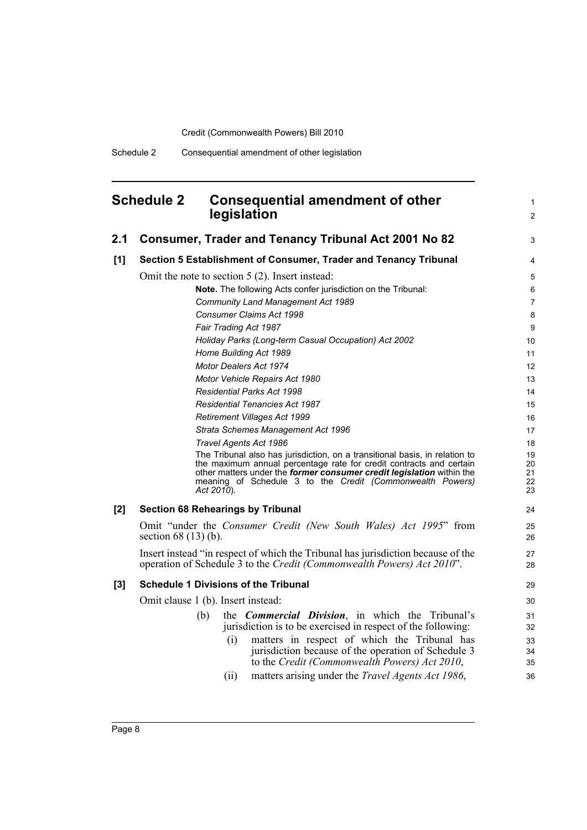### <span id="page-13-0"></span>**Schedule 2 Consequential amendment of other legislation**

1 2

| 2.1   | <b>Consumer, Trader and Tenancy Tribunal Act 2001 No 82</b>                                                                                        | 3              |  |  |
|-------|----------------------------------------------------------------------------------------------------------------------------------------------------|----------------|--|--|
| [1]   | Section 5 Establishment of Consumer, Trader and Tenancy Tribunal                                                                                   | 4              |  |  |
|       | Omit the note to section $5(2)$ . Insert instead:                                                                                                  |                |  |  |
|       | Note. The following Acts confer jurisdiction on the Tribunal:                                                                                      | 6              |  |  |
|       | Community Land Management Act 1989                                                                                                                 | $\overline{7}$ |  |  |
|       | Consumer Claims Act 1998                                                                                                                           | 8              |  |  |
|       | Fair Trading Act 1987                                                                                                                              | 9              |  |  |
|       | Holiday Parks (Long-term Casual Occupation) Act 2002                                                                                               | 10             |  |  |
|       | Home Building Act 1989                                                                                                                             | 11             |  |  |
|       | Motor Dealers Act 1974                                                                                                                             | 12             |  |  |
|       | Motor Vehicle Repairs Act 1980                                                                                                                     | 13             |  |  |
|       | Residential Parks Act 1998                                                                                                                         | 14             |  |  |
|       | <b>Residential Tenancies Act 1987</b>                                                                                                              | 15             |  |  |
|       | Retirement Villages Act 1999                                                                                                                       | 16             |  |  |
|       | Strata Schemes Management Act 1996                                                                                                                 | 17             |  |  |
|       | Travel Agents Act 1986                                                                                                                             | 18             |  |  |
|       | The Tribunal also has jurisdiction, on a transitional basis, in relation to<br>the maximum annual percentage rate for credit contracts and certain | 19<br>20       |  |  |
|       | other matters under the former consumer credit legislation within the                                                                              | 21             |  |  |
|       | meaning of Schedule 3 to the Credit (Commonwealth Powers)<br>Act 2010).                                                                            | 22<br>23       |  |  |
|       |                                                                                                                                                    |                |  |  |
| $[2]$ | <b>Section 68 Rehearings by Tribunal</b>                                                                                                           | 24             |  |  |
|       | Omit "under the Consumer Credit (New South Wales) Act 1995" from                                                                                   | 25             |  |  |
|       | section $68(13)(b)$ .                                                                                                                              | 26             |  |  |
|       | Insert instead "in respect of which the Tribunal has jurisdiction because of the                                                                   | 27             |  |  |
|       | operation of Schedule 3 to the Credit (Commonwealth Powers) Act 2010".                                                                             | 28             |  |  |
| $[3]$ | <b>Schedule 1 Divisions of the Tribunal</b>                                                                                                        | 29             |  |  |
|       | Omit clause 1 (b). Insert instead:                                                                                                                 | 30             |  |  |
|       | the <i>Commercial Division</i> , in which the Tribunal's<br>(b)                                                                                    | 31             |  |  |
|       | jurisdiction is to be exercised in respect of the following:                                                                                       | 32             |  |  |
|       | matters in respect of which the Tribunal has<br>(i)                                                                                                | 33             |  |  |
|       | jurisdiction because of the operation of Schedule 3                                                                                                | 34             |  |  |
|       | to the Credit (Commonwealth Powers) Act 2010,                                                                                                      | 35             |  |  |
|       | matters arising under the <i>Travel Agents Act 1986</i> ,<br>(ii)                                                                                  | 36             |  |  |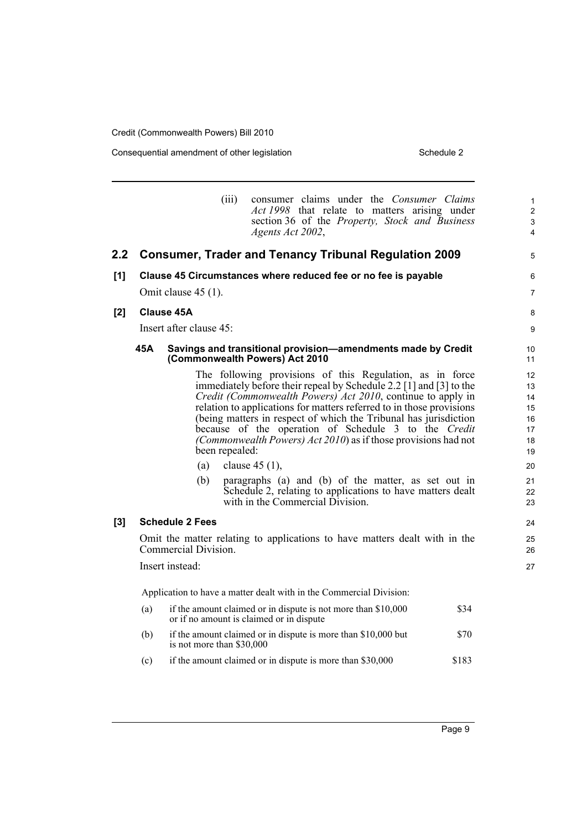Consequential amendment of other legislation Schedule 2 Schedule 2

|     |     |                           | (iii)                                    | consumer claims under the Consumer Claims<br><i>Act 1998</i> that relate to matters arising under                                                                                                                                                                                                                                                                                                                                                                                                                          |       | $\mathbf{1}$<br>2                                        |
|-----|-----|---------------------------|------------------------------------------|----------------------------------------------------------------------------------------------------------------------------------------------------------------------------------------------------------------------------------------------------------------------------------------------------------------------------------------------------------------------------------------------------------------------------------------------------------------------------------------------------------------------------|-------|----------------------------------------------------------|
|     |     |                           | Agents Act 2002,                         | section 36 of the Property, Stock and Business                                                                                                                                                                                                                                                                                                                                                                                                                                                                             |       | 3<br>4                                                   |
| 2.2 |     |                           |                                          | <b>Consumer, Trader and Tenancy Tribunal Regulation 2009</b>                                                                                                                                                                                                                                                                                                                                                                                                                                                               |       | 5                                                        |
| [1] |     |                           |                                          | Clause 45 Circumstances where reduced fee or no fee is payable                                                                                                                                                                                                                                                                                                                                                                                                                                                             |       | 6                                                        |
|     |     | Omit clause 45 (1).       |                                          |                                                                                                                                                                                                                                                                                                                                                                                                                                                                                                                            |       | $\overline{7}$                                           |
| [2] |     | Clause 45A                |                                          |                                                                                                                                                                                                                                                                                                                                                                                                                                                                                                                            |       | 8                                                        |
|     |     | Insert after clause 45:   |                                          |                                                                                                                                                                                                                                                                                                                                                                                                                                                                                                                            |       | 9                                                        |
|     | 45A |                           | (Commonwealth Powers) Act 2010           | Savings and transitional provision-amendments made by Credit                                                                                                                                                                                                                                                                                                                                                                                                                                                               |       | 10 <sup>1</sup><br>11                                    |
|     |     | (a)<br>(b)                | been repealed:<br>clause $45(1)$ ,       | The following provisions of this Regulation, as in force<br>immediately before their repeal by Schedule 2.2 [1] and [3] to the<br>Credit (Commonwealth Powers) Act 2010, continue to apply in<br>relation to applications for matters referred to in those provisions<br>(being matters in respect of which the Tribunal has jurisdiction<br>because of the operation of Schedule 3 to the Credit<br>(Commonwealth Powers) Act 2010) as if those provisions had not<br>paragraphs (a) and (b) of the matter, as set out in |       | 12<br>13<br>14<br>15<br>16<br>17<br>18<br>19<br>20<br>21 |
|     |     |                           | with in the Commercial Division.         | Schedule 2, relating to applications to have matters dealt                                                                                                                                                                                                                                                                                                                                                                                                                                                                 |       | 22<br>23                                                 |
| [3] |     | <b>Schedule 2 Fees</b>    |                                          |                                                                                                                                                                                                                                                                                                                                                                                                                                                                                                                            |       | 24                                                       |
|     |     | Commercial Division.      |                                          | Omit the matter relating to applications to have matters dealt with in the                                                                                                                                                                                                                                                                                                                                                                                                                                                 |       | 25<br>26                                                 |
|     |     | Insert instead:           |                                          |                                                                                                                                                                                                                                                                                                                                                                                                                                                                                                                            |       | 27                                                       |
|     |     |                           |                                          | Application to have a matter dealt with in the Commercial Division:                                                                                                                                                                                                                                                                                                                                                                                                                                                        |       |                                                          |
|     | (a) |                           | or if no amount is claimed or in dispute | if the amount claimed or in dispute is not more than \$10,000                                                                                                                                                                                                                                                                                                                                                                                                                                                              | \$34  |                                                          |
|     | (b) | is not more than \$30,000 |                                          | if the amount claimed or in dispute is more than \$10,000 but                                                                                                                                                                                                                                                                                                                                                                                                                                                              | \$70  |                                                          |
|     | (c) |                           |                                          | if the amount claimed or in dispute is more than \$30,000                                                                                                                                                                                                                                                                                                                                                                                                                                                                  | \$183 |                                                          |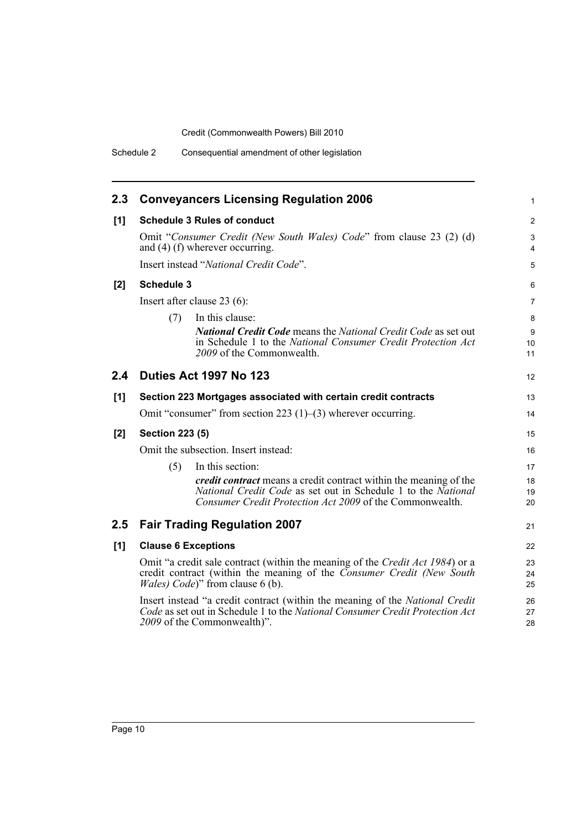| 2.3   | <b>Conveyancers Licensing Regulation 2006</b>                                                                                                                                                                     | $\mathbf{1}$          |
|-------|-------------------------------------------------------------------------------------------------------------------------------------------------------------------------------------------------------------------|-----------------------|
| [1]   | <b>Schedule 3 Rules of conduct</b>                                                                                                                                                                                | $\overline{2}$        |
|       | Omit "Consumer Credit (New South Wales) Code" from clause 23 (2) (d)<br>and $(4)$ (f) wherever occurring.                                                                                                         | 3<br>4                |
|       | Insert instead "National Credit Code".                                                                                                                                                                            | 5                     |
| $[2]$ | <b>Schedule 3</b>                                                                                                                                                                                                 | 6                     |
|       | Insert after clause $23(6)$ :                                                                                                                                                                                     | $\overline{7}$        |
|       | In this clause:<br>(7)                                                                                                                                                                                            | 8                     |
|       | <b>National Credit Code</b> means the National Credit Code as set out                                                                                                                                             | 9                     |
|       | in Schedule 1 to the National Consumer Credit Protection Act<br>2009 of the Commonwealth.                                                                                                                         | 10 <sup>°</sup><br>11 |
|       |                                                                                                                                                                                                                   |                       |
| 2.4   | Duties Act 1997 No 123                                                                                                                                                                                            | 12                    |
| [1]   | Section 223 Mortgages associated with certain credit contracts                                                                                                                                                    | 13                    |
|       | Omit "consumer" from section 223 $(1)$ – $(3)$ wherever occurring.                                                                                                                                                | 14                    |
| [2]   | <b>Section 223 (5)</b>                                                                                                                                                                                            | 15                    |
|       | Omit the subsection. Insert instead:                                                                                                                                                                              | 16                    |
|       | (5)<br>In this section:                                                                                                                                                                                           | 17                    |
|       | <i>credit contract</i> means a credit contract within the meaning of the                                                                                                                                          | 18                    |
|       | National Credit Code as set out in Schedule 1 to the National<br>Consumer Credit Protection Act 2009 of the Commonwealth.                                                                                         | 19<br>20              |
| 2.5   | <b>Fair Trading Regulation 2007</b>                                                                                                                                                                               | 21                    |
|       |                                                                                                                                                                                                                   |                       |
| [1]   | <b>Clause 6 Exceptions</b>                                                                                                                                                                                        | 22                    |
|       | Omit "a credit sale contract (within the meaning of the Credit Act 1984) or a<br>credit contract (within the meaning of the <i>Consumer Credit (New South</i><br><i>Wales</i> ) <i>Code</i> )" from clause 6 (b). | 23<br>24<br>25        |
|       | Insert instead "a credit contract (within the meaning of the National Credit                                                                                                                                      | 26                    |
|       | Code as set out in Schedule 1 to the National Consumer Credit Protection Act                                                                                                                                      | 27                    |
|       | 2009 of the Commonwealth)".                                                                                                                                                                                       | 28                    |
|       |                                                                                                                                                                                                                   |                       |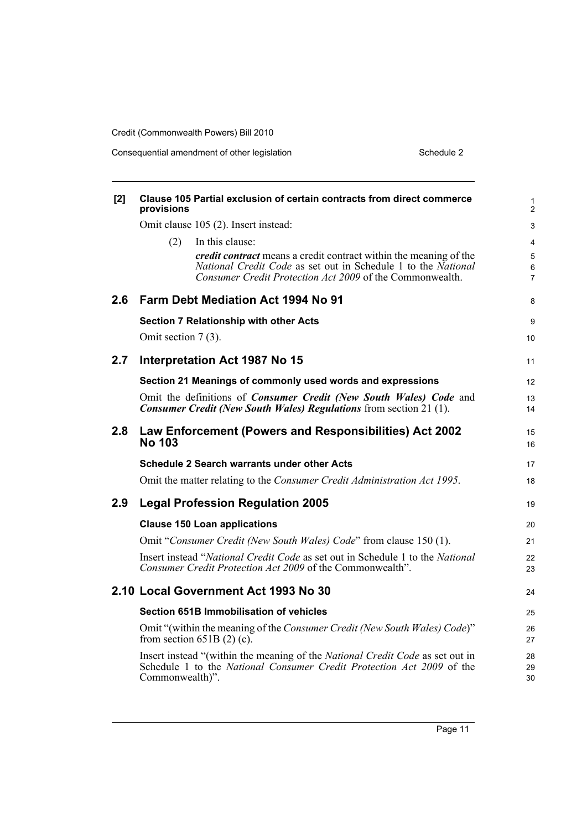Consequential amendment of other legislation Schedule 2 Schedule 2

| [2] | provisions            | <b>Clause 105 Partial exclusion of certain contracts from direct commerce</b>                                                                                                                         | 1<br>$\overline{2}$      |
|-----|-----------------------|-------------------------------------------------------------------------------------------------------------------------------------------------------------------------------------------------------|--------------------------|
|     |                       | Omit clause 105 (2). Insert instead:                                                                                                                                                                  | 3                        |
|     | (2)                   | In this clause:                                                                                                                                                                                       | 4                        |
|     |                       | <i>credit contract</i> means a credit contract within the meaning of the<br>National Credit Code as set out in Schedule 1 to the National<br>Consumer Credit Protection Act 2009 of the Commonwealth. | 5<br>6<br>$\overline{7}$ |
| 2.6 |                       | Farm Debt Mediation Act 1994 No 91                                                                                                                                                                    | 8                        |
|     |                       | <b>Section 7 Relationship with other Acts</b>                                                                                                                                                         | 9                        |
|     | Omit section $7(3)$ . |                                                                                                                                                                                                       | 10                       |
| 2.7 |                       | Interpretation Act 1987 No 15                                                                                                                                                                         | 11                       |
|     |                       | Section 21 Meanings of commonly used words and expressions                                                                                                                                            | 12                       |
|     |                       | Omit the definitions of Consumer Credit (New South Wales) Code and<br><b>Consumer Credit (New South Wales) Regulations</b> from section 21 (1).                                                       | 13<br>14                 |
| 2.8 | <b>No 103</b>         | Law Enforcement (Powers and Responsibilities) Act 2002                                                                                                                                                | 15<br>16                 |
|     |                       | Schedule 2 Search warrants under other Acts                                                                                                                                                           | 17                       |
|     |                       | Omit the matter relating to the Consumer Credit Administration Act 1995.                                                                                                                              | 18                       |
| 2.9 |                       | <b>Legal Profession Regulation 2005</b>                                                                                                                                                               | 19                       |
|     |                       | <b>Clause 150 Loan applications</b>                                                                                                                                                                   | 20                       |
|     |                       | Omit "Consumer Credit (New South Wales) Code" from clause 150 (1).                                                                                                                                    | 21                       |
|     |                       | Insert instead "National Credit Code as set out in Schedule 1 to the National<br>Consumer Credit Protection Act 2009 of the Commonwealth".                                                            | 22<br>23                 |
|     |                       | 2.10 Local Government Act 1993 No 30                                                                                                                                                                  | 24                       |
|     |                       | <b>Section 651B Immobilisation of vehicles</b>                                                                                                                                                        | 25                       |
|     |                       | Omit "(within the meaning of the Consumer Credit (New South Wales) Code)"<br>from section $651B(2)$ (c).                                                                                              | 26<br>27                 |
|     | Commonwealth)".       | Insert instead "(within the meaning of the <i>National Credit Code</i> as set out in<br>Schedule 1 to the National Consumer Credit Protection Act 2009 of the                                         | 28<br>29<br>30           |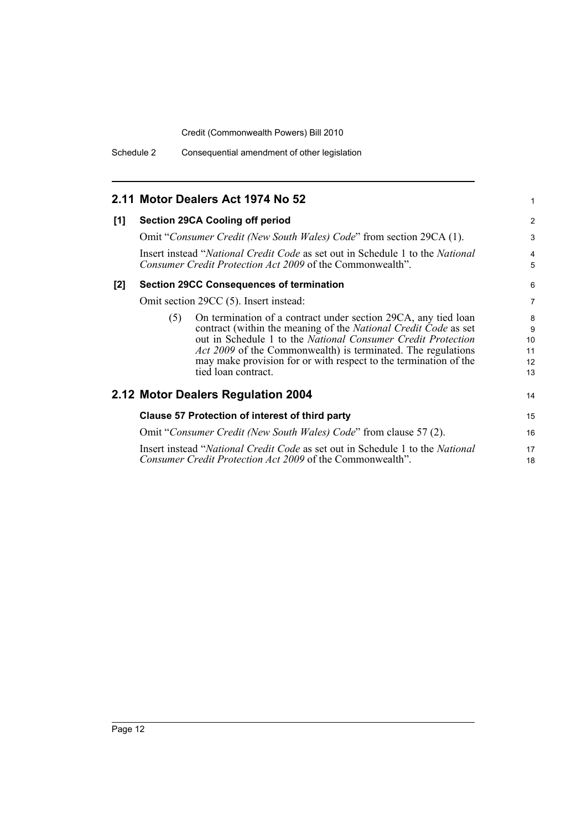|     |     | 2.11 Motor Dealers Act 1974 No 52                                                                                                                                                                                                                                                                                                                                   | 1                              |
|-----|-----|---------------------------------------------------------------------------------------------------------------------------------------------------------------------------------------------------------------------------------------------------------------------------------------------------------------------------------------------------------------------|--------------------------------|
| [1] |     | <b>Section 29CA Cooling off period</b>                                                                                                                                                                                                                                                                                                                              | 2                              |
|     |     | Omit "Consumer Credit (New South Wales) Code" from section 29CA (1).                                                                                                                                                                                                                                                                                                | 3                              |
|     |     | Insert instead "National Credit Code as set out in Schedule 1 to the National<br>Consumer Credit Protection Act 2009 of the Commonwealth".                                                                                                                                                                                                                          | $\overline{4}$<br>5            |
| [2] |     | <b>Section 29CC Consequences of termination</b>                                                                                                                                                                                                                                                                                                                     | 6                              |
|     |     | Omit section 29CC (5). Insert instead:                                                                                                                                                                                                                                                                                                                              | $\overline{7}$                 |
|     | (5) | On termination of a contract under section 29CA, any tied loan<br>contract (within the meaning of the National Credit Code as set<br>out in Schedule 1 to the National Consumer Credit Protection<br><i>Act 2009</i> of the Commonwealth) is terminated. The regulations<br>may make provision for or with respect to the termination of the<br>tied loan contract. | 8<br>9<br>10<br>11<br>12<br>13 |
|     |     | 2.12 Motor Dealers Regulation 2004                                                                                                                                                                                                                                                                                                                                  | 14                             |
|     |     | Clause 57 Protection of interest of third party                                                                                                                                                                                                                                                                                                                     | 15                             |
|     |     | Omit "Consumer Credit (New South Wales) Code" from clause 57 (2).                                                                                                                                                                                                                                                                                                   | 16                             |
|     |     | Insert instead "National Credit Code as set out in Schedule 1 to the National<br>Consumer Credit Protection Act 2009 of the Commonwealth".                                                                                                                                                                                                                          | 17<br>18                       |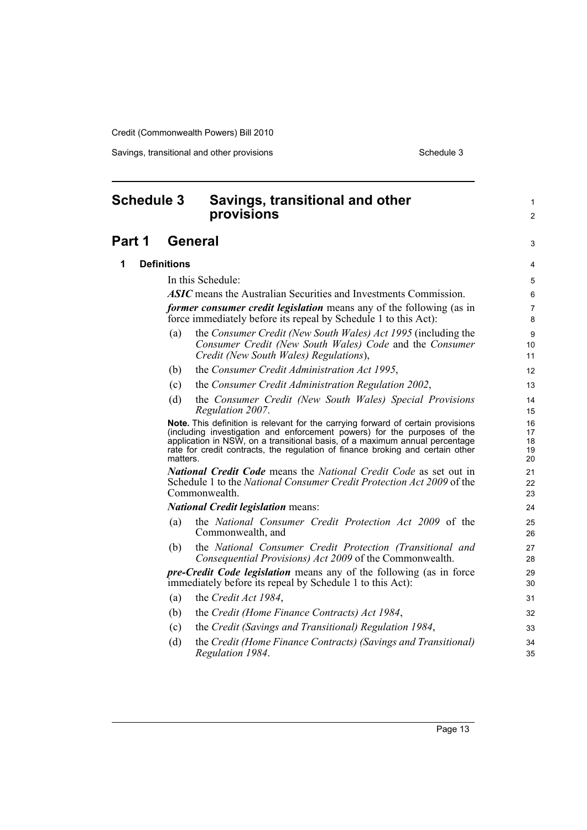Savings, transitional and other provisions Schedule 3 Schedule 3

<span id="page-18-0"></span>

| <b>Schedule 3</b> |                    | Savings, transitional and other<br>provisions                                                                                                                                                                                                                                                                                 | 1<br>2                     |
|-------------------|--------------------|-------------------------------------------------------------------------------------------------------------------------------------------------------------------------------------------------------------------------------------------------------------------------------------------------------------------------------|----------------------------|
| Part 1            |                    | <b>General</b>                                                                                                                                                                                                                                                                                                                | 3                          |
| 1                 | <b>Definitions</b> |                                                                                                                                                                                                                                                                                                                               | 4                          |
|                   |                    | In this Schedule:                                                                                                                                                                                                                                                                                                             | 5                          |
|                   |                    | <b>ASIC</b> means the Australian Securities and Investments Commission.                                                                                                                                                                                                                                                       | 6                          |
|                   |                    | <i>former consumer credit legislation</i> means any of the following (as in<br>force immediately before its repeal by Schedule 1 to this Act):                                                                                                                                                                                | 7<br>8                     |
|                   | (a)                | the Consumer Credit (New South Wales) Act 1995 (including the<br>Consumer Credit (New South Wales) Code and the Consumer<br>Credit (New South Wales) Regulations),                                                                                                                                                            | 9<br>10<br>11              |
|                   | (b)                | the Consumer Credit Administration Act 1995,                                                                                                                                                                                                                                                                                  | 12                         |
|                   | (c)                | the Consumer Credit Administration Regulation 2002,                                                                                                                                                                                                                                                                           | 13                         |
|                   | (d)                | the Consumer Credit (New South Wales) Special Provisions<br>Regulation 2007.                                                                                                                                                                                                                                                  | 14<br>15                   |
|                   | matters.           | Note. This definition is relevant for the carrying forward of certain provisions<br>(including investigation and enforcement powers) for the purposes of the<br>application in NSW, on a transitional basis, of a maximum annual percentage<br>rate for credit contracts, the regulation of finance broking and certain other | 16<br>17<br>18<br>19<br>20 |
|                   |                    | <b>National Credit Code</b> means the National Credit Code as set out in<br>Schedule 1 to the National Consumer Credit Protection Act 2009 of the<br>Commonwealth.                                                                                                                                                            | 21<br>22<br>23             |
|                   |                    | <b>National Credit legislation means:</b>                                                                                                                                                                                                                                                                                     | 24                         |
|                   | (a)                | the National Consumer Credit Protection Act 2009 of the<br>Commonwealth, and                                                                                                                                                                                                                                                  | 25<br>26                   |
|                   | (b)                | the National Consumer Credit Protection (Transitional and<br>Consequential Provisions) Act 2009 of the Commonwealth.                                                                                                                                                                                                          | 27<br>28                   |
|                   |                    | <i>pre-Credit Code legislation</i> means any of the following (as in force<br>immediately before its repeal by Schedule 1 to this Act):                                                                                                                                                                                       | 29<br>30                   |
|                   | (a)                | the Credit Act 1984,                                                                                                                                                                                                                                                                                                          | 31                         |
|                   | (b)                | the Credit (Home Finance Contracts) Act 1984,                                                                                                                                                                                                                                                                                 | 32                         |
|                   | (c)                | the Credit (Savings and Transitional) Regulation 1984,                                                                                                                                                                                                                                                                        | 33                         |
|                   | (d)                | the Credit (Home Finance Contracts) (Savings and Transitional)<br>Regulation 1984.                                                                                                                                                                                                                                            | 34<br>35                   |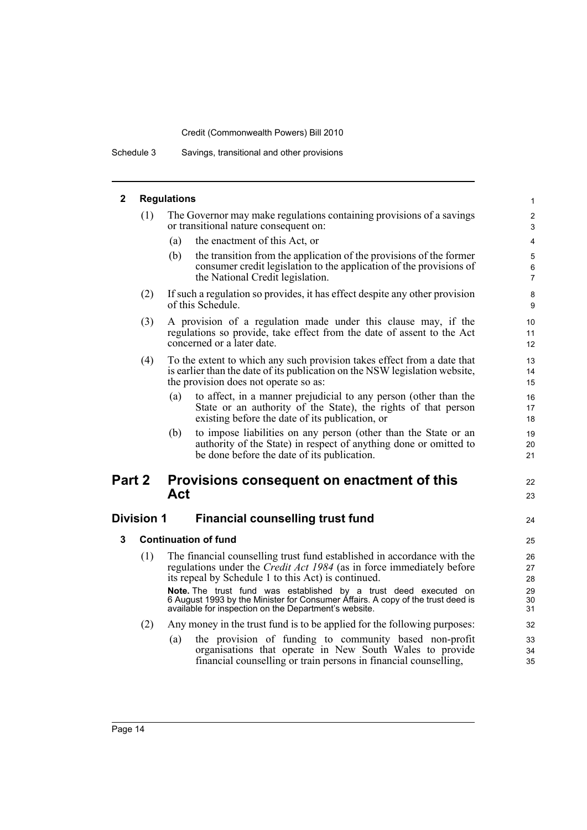Schedule 3 Savings, transitional and other provisions

## **2 Regulations**

| (1) | The Governor may make regulations containing provisions of a savings                                                                                                                                                                                                           |
|-----|--------------------------------------------------------------------------------------------------------------------------------------------------------------------------------------------------------------------------------------------------------------------------------|
|     | or transitional nature consequent on:                                                                                                                                                                                                                                          |
|     | $\ell$ and $\ell$ and $\ell$ and $\ell$ and $\ell$ and $\ell$ and $\ell$ and $\ell$ and $\ell$ and $\ell$ and $\ell$ and $\ell$ and $\ell$ and $\ell$ and $\ell$ and $\ell$ and $\ell$ and $\ell$ and $\ell$ and $\ell$ and $\ell$ and $\ell$ and $\ell$ and $\ell$ and $\ell$ |

22 23

- (a) the enactment of this Act, or
- (b) the transition from the application of the provisions of the former consumer credit legislation to the application of the provisions of the National Credit legislation.
- (2) If such a regulation so provides, it has effect despite any other provision of this Schedule.
- (3) A provision of a regulation made under this clause may, if the regulations so provide, take effect from the date of assent to the Act concerned or a later date.
- (4) To the extent to which any such provision takes effect from a date that is earlier than the date of its publication on the NSW legislation website, the provision does not operate so as:
	- (a) to affect, in a manner prejudicial to any person (other than the State or an authority of the State), the rights of that person existing before the date of its publication, or
	- (b) to impose liabilities on any person (other than the State or an authority of the State) in respect of anything done or omitted to be done before the date of its publication.

### **Part 2 Provisions consequent on enactment of this Act**

### **Division 1 Financial counselling trust fund**

- **3 Continuation of fund**
	- (1) The financial counselling trust fund established in accordance with the regulations under the *Credit Act 1984* (as in force immediately before its repeal by Schedule 1 to this Act) is continued. **Note.** The trust fund was established by a trust deed executed on 6 August 1993 by the Minister for Consumer Affairs. A copy of the trust deed is available for inspection on the Department's website.
	- (2) Any money in the trust fund is to be applied for the following purposes:
		- (a) the provision of funding to community based non-profit organisations that operate in New South Wales to provide financial counselling or train persons in financial counselling,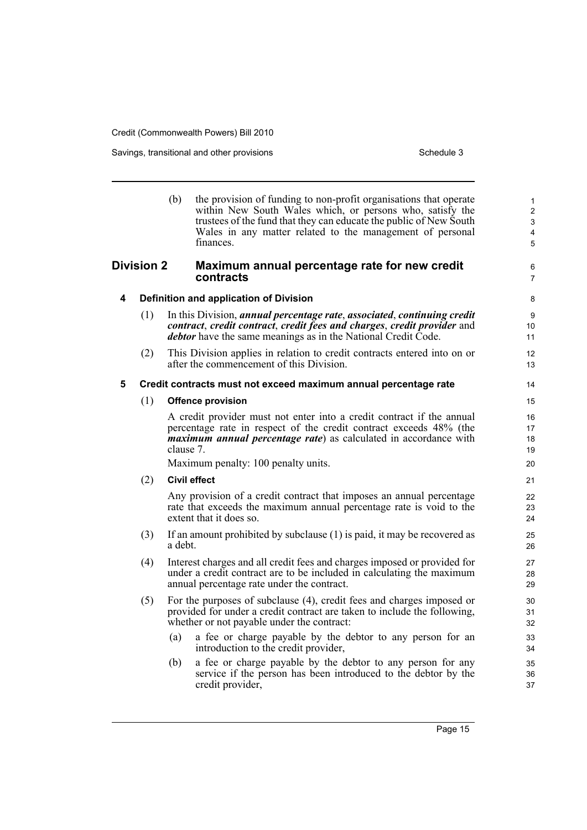Savings, transitional and other provisions Schedule 3 Schedule 3

|                   |     | (b)       | the provision of funding to non-profit organisations that operate<br>within New South Wales which, or persons who, satisfy the<br>trustees of the fund that they can educate the public of New South<br>Wales in any matter related to the management of personal<br>finances. | $\mathbf{1}$<br>2<br>3<br>4<br>$\overline{5}$ |
|-------------------|-----|-----------|--------------------------------------------------------------------------------------------------------------------------------------------------------------------------------------------------------------------------------------------------------------------------------|-----------------------------------------------|
| <b>Division 2</b> |     |           | Maximum annual percentage rate for new credit<br>contracts                                                                                                                                                                                                                     | 6<br>$\overline{7}$                           |
| 4                 |     |           | Definition and application of Division                                                                                                                                                                                                                                         | 8                                             |
|                   | (1) |           | In this Division, annual percentage rate, associated, continuing credit<br>contract, credit contract, credit fees and charges, credit provider and<br><i>debtor</i> have the same meanings as in the National Credit Code.                                                     | 9<br>10<br>11                                 |
|                   | (2) |           | This Division applies in relation to credit contracts entered into on or<br>after the commencement of this Division.                                                                                                                                                           | 12<br>13                                      |
| 5                 |     |           | Credit contracts must not exceed maximum annual percentage rate                                                                                                                                                                                                                | 14                                            |
|                   | (1) |           | <b>Offence provision</b>                                                                                                                                                                                                                                                       | 15                                            |
|                   |     | clause 7. | A credit provider must not enter into a credit contract if the annual<br>percentage rate in respect of the credit contract exceeds 48% (the<br><i>maximum annual percentage rate</i> ) as calculated in accordance with                                                        | 16<br>17<br>18<br>19                          |
|                   |     |           | Maximum penalty: 100 penalty units.                                                                                                                                                                                                                                            | 20                                            |
|                   | (2) |           | <b>Civil effect</b>                                                                                                                                                                                                                                                            | 21                                            |
|                   |     |           | Any provision of a credit contract that imposes an annual percentage<br>rate that exceeds the maximum annual percentage rate is void to the<br>extent that it does so.                                                                                                         | 22<br>23<br>24                                |
|                   | (3) | a debt.   | If an amount prohibited by subclause (1) is paid, it may be recovered as                                                                                                                                                                                                       | 25<br>26                                      |
|                   | (4) |           | Interest charges and all credit fees and charges imposed or provided for<br>under a credit contract are to be included in calculating the maximum<br>annual percentage rate under the contract.                                                                                | 27<br>28<br>29                                |
|                   | (5) |           | For the purposes of subclause (4), credit fees and charges imposed or<br>provided for under a credit contract are taken to include the following,<br>whether or not payable under the contract:                                                                                | 30<br>31<br>32                                |
|                   |     | (a)       | a fee or charge payable by the debtor to any person for an<br>introduction to the credit provider,                                                                                                                                                                             | 33<br>34                                      |
|                   |     | (b)       | a fee or charge payable by the debtor to any person for any<br>service if the person has been introduced to the debtor by the<br>credit provider,                                                                                                                              | 35<br>36<br>37                                |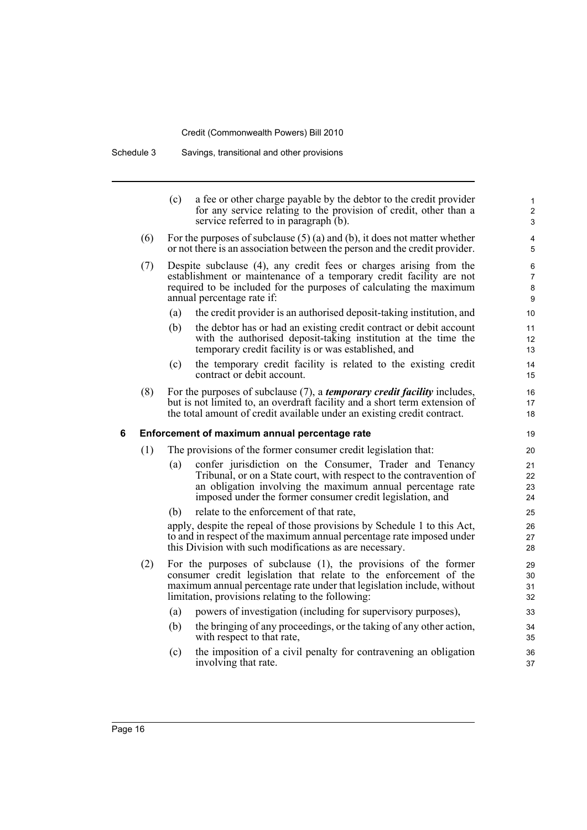Schedule 3 Savings, transitional and other provisions

|   |     | (c)                                                                                                                                                                                                                                                                    | a fee or other charge payable by the debtor to the credit provider<br>for any service relating to the provision of credit, other than a<br>service referred to in paragraph (b).                                                                          | 1<br>$\overline{c}$<br>3      |
|---|-----|------------------------------------------------------------------------------------------------------------------------------------------------------------------------------------------------------------------------------------------------------------------------|-----------------------------------------------------------------------------------------------------------------------------------------------------------------------------------------------------------------------------------------------------------|-------------------------------|
|   | (6) |                                                                                                                                                                                                                                                                        | For the purposes of subclause $(5)$ (a) and (b), it does not matter whether<br>or not there is an association between the person and the credit provider.                                                                                                 | 4<br>5                        |
|   | (7) | Despite subclause (4), any credit fees or charges arising from the<br>establishment or maintenance of a temporary credit facility are not<br>required to be included for the purposes of calculating the maximum<br>annual percentage rate if:                         |                                                                                                                                                                                                                                                           | 6<br>$\overline{7}$<br>8<br>9 |
|   |     | (a)                                                                                                                                                                                                                                                                    | the credit provider is an authorised deposit-taking institution, and                                                                                                                                                                                      | 10                            |
|   |     | (b)                                                                                                                                                                                                                                                                    | the debtor has or had an existing credit contract or debit account<br>with the authorised deposit-taking institution at the time the<br>temporary credit facility is or was established, and                                                              | 11<br>12<br>13                |
|   |     | (c)                                                                                                                                                                                                                                                                    | the temporary credit facility is related to the existing credit<br>contract or debit account.                                                                                                                                                             | 14<br>15                      |
|   | (8) |                                                                                                                                                                                                                                                                        | For the purposes of subclause (7), a <i>temporary credit facility</i> includes,<br>but is not limited to, an overdraft facility and a short term extension of<br>the total amount of credit available under an existing credit contract.                  | 16<br>17<br>18                |
| 6 |     |                                                                                                                                                                                                                                                                        | Enforcement of maximum annual percentage rate                                                                                                                                                                                                             | 19                            |
|   | (1) |                                                                                                                                                                                                                                                                        | The provisions of the former consumer credit legislation that:                                                                                                                                                                                            | 20                            |
|   |     | (a)                                                                                                                                                                                                                                                                    | confer jurisdiction on the Consumer, Trader and Tenancy<br>Tribunal, or on a State court, with respect to the contravention of<br>an obligation involving the maximum annual percentage rate<br>imposed under the former consumer credit legislation, and | 21<br>22<br>23<br>24          |
|   |     | (b)                                                                                                                                                                                                                                                                    | relate to the enforcement of that rate,                                                                                                                                                                                                                   | 25                            |
|   |     |                                                                                                                                                                                                                                                                        | apply, despite the repeal of those provisions by Schedule 1 to this Act,<br>to and in respect of the maximum annual percentage rate imposed under<br>this Division with such modifications as are necessary.                                              | 26<br>27<br>28                |
|   | (2) | For the purposes of subclause $(1)$ , the provisions of the former<br>consumer credit legislation that relate to the enforcement of the<br>maximum annual percentage rate under that legislation include, without<br>limitation, provisions relating to the following: |                                                                                                                                                                                                                                                           | 29<br>30<br>31<br>32          |
|   |     | (a)                                                                                                                                                                                                                                                                    | powers of investigation (including for supervisory purposes),                                                                                                                                                                                             | 33                            |
|   |     | (b)                                                                                                                                                                                                                                                                    | the bringing of any proceedings, or the taking of any other action,<br>with respect to that rate,                                                                                                                                                         | 34<br>35                      |
|   |     | (c)                                                                                                                                                                                                                                                                    | the imposition of a civil penalty for contravening an obligation<br>involving that rate.                                                                                                                                                                  | 36<br>37                      |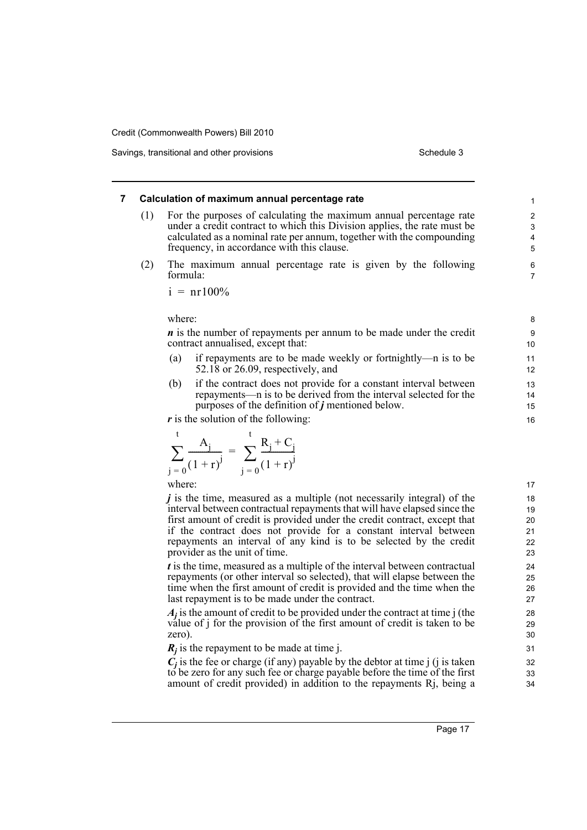Savings, transitional and other provisions Schedule 3 and Schedule 3

### **7 Calculation of maximum annual percentage rate**

- (1) For the purposes of calculating the maximum annual percentage rate under a credit contract to which this Division applies, the rate must be calculated as a nominal rate per annum, together with the compounding frequency, in accordance with this clause.
- (2) The maximum annual percentage rate is given by the following formula:

$$
i = nr100\%
$$

where:

*n* is the number of repayments per annum to be made under the credit contract annualised, except that:

- (a) if repayments are to be made weekly or fortnightly—n is to be 52.18 or 26.09, respectively, and
- (b) if the contract does not provide for a constant interval between repayments—n is to be derived from the interval selected for the purposes of the definition of *j* mentioned below.

*r* is the solution of the following:

$$
\sum_{j=0}^{t} \frac{A_j}{(1+r)^j} = \sum_{j=0}^{t} \frac{R_j + C_j}{(1+r)^j}
$$

where:

*j* is the time, measured as a multiple (not necessarily integral) of the interval between contractual repayments that will have elapsed since the first amount of credit is provided under the credit contract, except that if the contract does not provide for a constant interval between repayments an interval of any kind is to be selected by the credit provider as the unit of time.

*t* is the time, measured as a multiple of the interval between contractual repayments (or other interval so selected), that will elapse between the time when the first amount of credit is provided and the time when the last repayment is to be made under the contract.

*Aj* is the amount of credit to be provided under the contract at time j (the value of j for the provision of the first amount of credit is taken to be zero).

 $R_j$  is the repayment to be made at time j.

 $C_j$  is the fee or charge (if any) payable by the debtor at time j (j is taken to be zero for any such fee or charge payable before the time of the first amount of credit provided) in addition to the repayments Rj, being a

16

15

17 18 19

 $20$ 30

> 32 33 34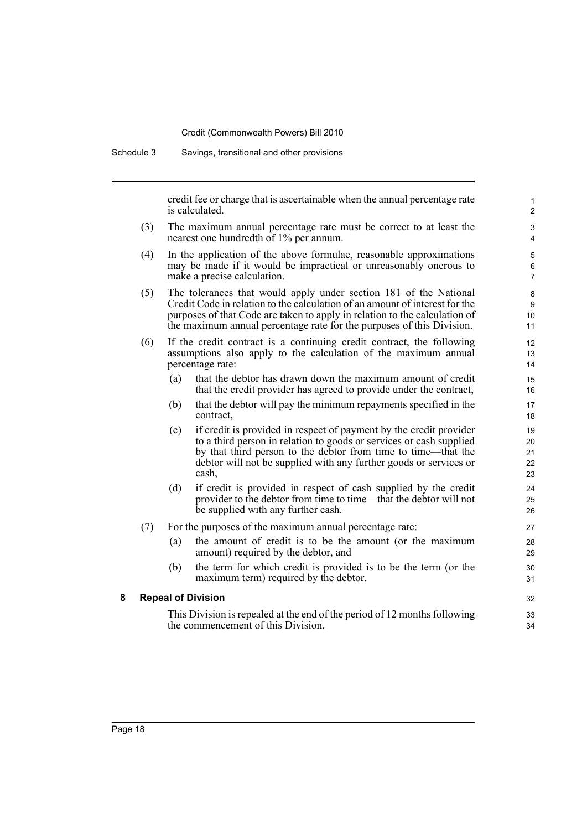Schedule 3 Savings, transitional and other provisions

credit fee or charge that is ascertainable when the annual percentage rate is calculated.

- (3) The maximum annual percentage rate must be correct to at least the nearest one hundredth of 1% per annum.
- (4) In the application of the above formulae, reasonable approximations may be made if it would be impractical or unreasonably onerous to make a precise calculation.
- (5) The tolerances that would apply under section 181 of the National Credit Code in relation to the calculation of an amount of interest for the purposes of that Code are taken to apply in relation to the calculation of the maximum annual percentage rate for the purposes of this Division.
- (6) If the credit contract is a continuing credit contract, the following assumptions also apply to the calculation of the maximum annual percentage rate:
	- (a) that the debtor has drawn down the maximum amount of credit that the credit provider has agreed to provide under the contract,
	- (b) that the debtor will pay the minimum repayments specified in the contract,
	- (c) if credit is provided in respect of payment by the credit provider to a third person in relation to goods or services or cash supplied by that third person to the debtor from time to time—that the debtor will not be supplied with any further goods or services or cash,
	- (d) if credit is provided in respect of cash supplied by the credit provider to the debtor from time to time—that the debtor will not be supplied with any further cash.

#### (7) For the purposes of the maximum annual percentage rate:

- (a) the amount of credit is to be the amount (or the maximum amount) required by the debtor, and
- (b) the term for which credit is provided is to be the term (or the maximum term) required by the debtor.

#### **8 Repeal of Division**

This Division is repealed at the end of the period of 12 months following the commencement of this Division.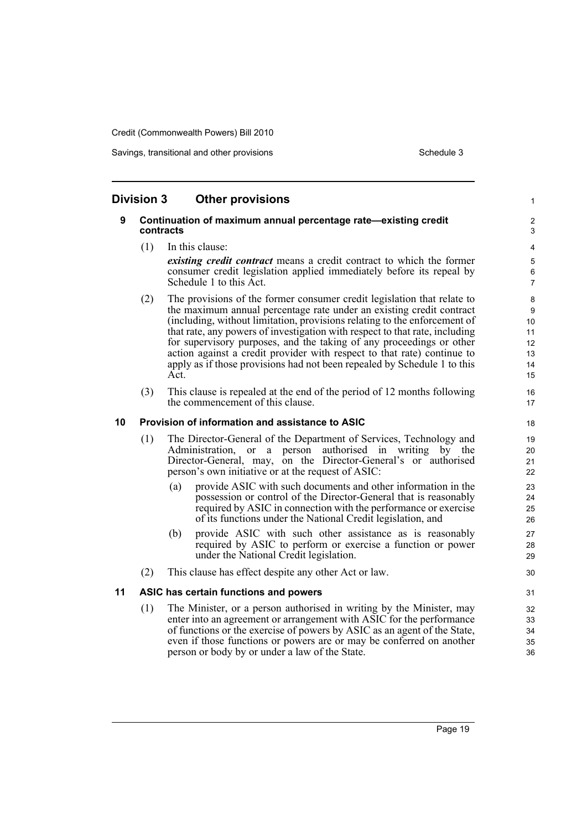Savings, transitional and other provisions Schedule 3 Schedule 3

| <b>Division 3</b><br><b>Other provisions</b><br>$\mathbf{1}$ |                                                                             |                                                                                                                                                          |                           |  |  |  |  |
|--------------------------------------------------------------|-----------------------------------------------------------------------------|----------------------------------------------------------------------------------------------------------------------------------------------------------|---------------------------|--|--|--|--|
| 9                                                            | Continuation of maximum annual percentage rate-existing credit<br>contracts |                                                                                                                                                          |                           |  |  |  |  |
|                                                              | (1)                                                                         | In this clause:                                                                                                                                          | 4                         |  |  |  |  |
|                                                              |                                                                             | existing credit contract means a credit contract to which the former                                                                                     | 5                         |  |  |  |  |
|                                                              |                                                                             | consumer credit legislation applied immediately before its repeal by<br>Schedule 1 to this Act.                                                          | $\,6\,$<br>$\overline{7}$ |  |  |  |  |
|                                                              | (2)                                                                         | The provisions of the former consumer credit legislation that relate to                                                                                  | 8                         |  |  |  |  |
|                                                              |                                                                             | the maximum annual percentage rate under an existing credit contract                                                                                     | $\boldsymbol{9}$          |  |  |  |  |
|                                                              |                                                                             | (including, without limitation, provisions relating to the enforcement of<br>that rate, any powers of investigation with respect to that rate, including | 10<br>11                  |  |  |  |  |
|                                                              |                                                                             | for supervisory purposes, and the taking of any proceedings or other                                                                                     | 12                        |  |  |  |  |
|                                                              |                                                                             | action against a credit provider with respect to that rate) continue to                                                                                  | 13                        |  |  |  |  |
|                                                              |                                                                             | apply as if those provisions had not been repealed by Schedule 1 to this                                                                                 | 14                        |  |  |  |  |
|                                                              |                                                                             | Act.                                                                                                                                                     | 15                        |  |  |  |  |
|                                                              | (3)                                                                         | This clause is repealed at the end of the period of 12 months following<br>the commencement of this clause.                                              | 16<br>17                  |  |  |  |  |
| 10                                                           |                                                                             | Provision of information and assistance to ASIC                                                                                                          | 18                        |  |  |  |  |
|                                                              | (1)                                                                         | The Director-General of the Department of Services, Technology and                                                                                       | 19                        |  |  |  |  |
|                                                              |                                                                             | Administration, or a<br>person authorised in writing by the                                                                                              | 20                        |  |  |  |  |
|                                                              |                                                                             | Director-General, may, on the Director-General's or authorised                                                                                           | 21                        |  |  |  |  |
|                                                              |                                                                             | person's own initiative or at the request of ASIC:                                                                                                       | 22                        |  |  |  |  |
|                                                              |                                                                             | provide ASIC with such documents and other information in the<br>(a)<br>possession or control of the Director-General that is reasonably                 | 23                        |  |  |  |  |
|                                                              |                                                                             | required by ASIC in connection with the performance or exercise                                                                                          | 24<br>25                  |  |  |  |  |
|                                                              |                                                                             | of its functions under the National Credit legislation, and                                                                                              | 26                        |  |  |  |  |
|                                                              |                                                                             | (b)<br>provide ASIC with such other assistance as is reasonably                                                                                          | 27                        |  |  |  |  |
|                                                              |                                                                             | required by ASIC to perform or exercise a function or power                                                                                              | 28                        |  |  |  |  |
|                                                              |                                                                             | under the National Credit legislation.                                                                                                                   | 29                        |  |  |  |  |
|                                                              | (2)                                                                         | This clause has effect despite any other Act or law.                                                                                                     | 30                        |  |  |  |  |
| 11                                                           |                                                                             | ASIC has certain functions and powers                                                                                                                    | 31                        |  |  |  |  |
|                                                              | (1)                                                                         | The Minister, or a person authorised in writing by the Minister, may                                                                                     | 32                        |  |  |  |  |
|                                                              |                                                                             | enter into an agreement or arrangement with ASIC for the performance                                                                                     | 33                        |  |  |  |  |
|                                                              |                                                                             | of functions or the exercise of powers by ASIC as an agent of the State,<br>even if those functions or powers are or may be conferred on another         | 34<br>35                  |  |  |  |  |
|                                                              |                                                                             | person or body by or under a law of the State.                                                                                                           | 36                        |  |  |  |  |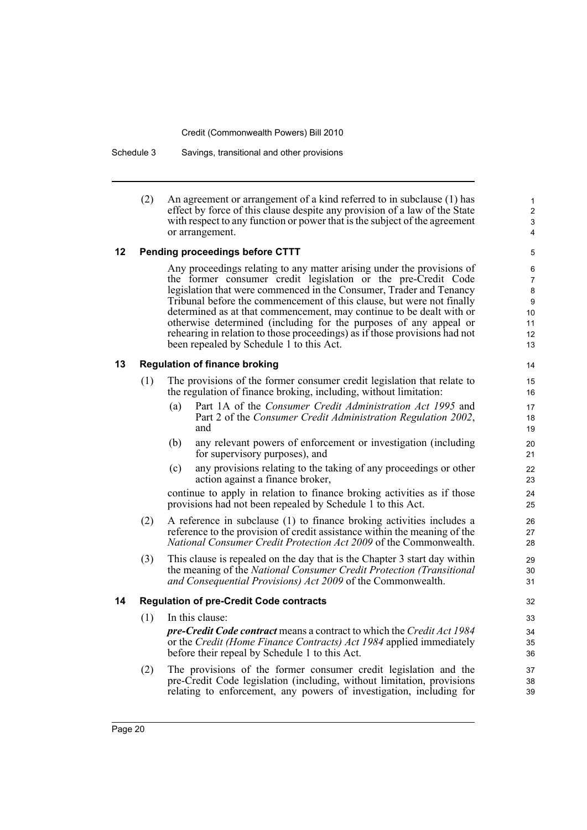Schedule 3 Savings, transitional and other provisions

(2) An agreement or arrangement of a kind referred to in subclause (1) has effect by force of this clause despite any provision of a law of the State with respect to any function or power that is the subject of the agreement or arrangement.

### **12 Pending proceedings before CTTT**

Any proceedings relating to any matter arising under the provisions of the former consumer credit legislation or the pre-Credit Code legislation that were commenced in the Consumer, Trader and Tenancy Tribunal before the commencement of this clause, but were not finally determined as at that commencement, may continue to be dealt with or otherwise determined (including for the purposes of any appeal or rehearing in relation to those proceedings) as if those provisions had not been repealed by Schedule 1 to this Act.

### **13 Regulation of finance broking**

- (1) The provisions of the former consumer credit legislation that relate to the regulation of finance broking, including, without limitation:
	- (a) Part 1A of the *Consumer Credit Administration Act 1995* and Part 2 of the *Consumer Credit Administration Regulation 2002*, and
	- (b) any relevant powers of enforcement or investigation (including for supervisory purposes), and
	- (c) any provisions relating to the taking of any proceedings or other action against a finance broker,

continue to apply in relation to finance broking activities as if those provisions had not been repealed by Schedule 1 to this Act.

- (2) A reference in subclause (1) to finance broking activities includes a reference to the provision of credit assistance within the meaning of the *National Consumer Credit Protection Act 2009* of the Commonwealth.
- (3) This clause is repealed on the day that is the Chapter 3 start day within the meaning of the *National Consumer Credit Protection (Transitional and Consequential Provisions) Act 2009* of the Commonwealth.

### **14 Regulation of pre-Credit Code contracts**

- (1) In this clause: *pre-Credit Code contract* means a contract to which the *Credit Act 1984* or the *Credit (Home Finance Contracts) Act 1984* applied immediately before their repeal by Schedule 1 to this Act.
- (2) The provisions of the former consumer credit legislation and the pre-Credit Code legislation (including, without limitation, provisions relating to enforcement, any powers of investigation, including for